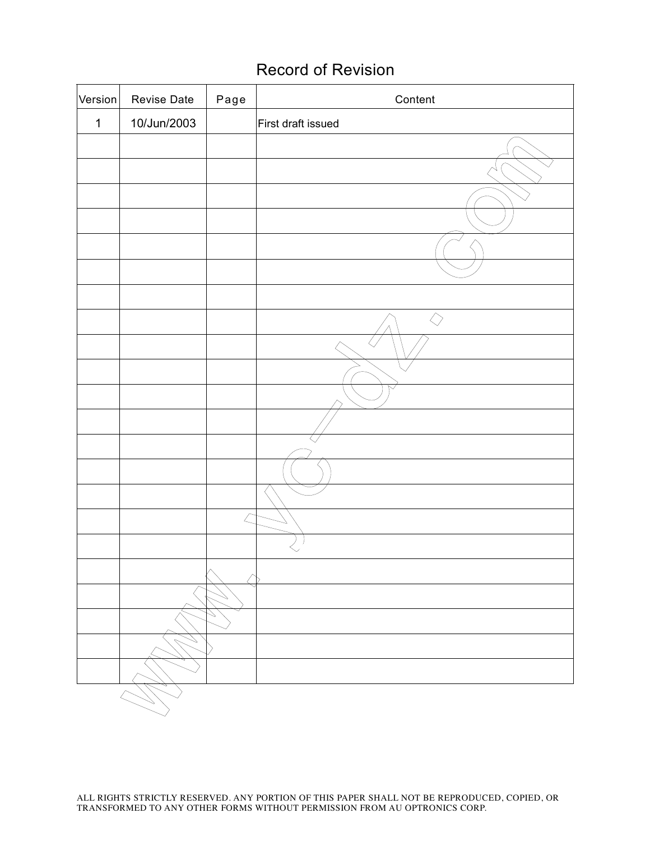# Record of Revision

| Version     | Revise Date | Page                  | Content            |
|-------------|-------------|-----------------------|--------------------|
| $\mathbf 1$ | 10/Jun/2003 |                       | First draft issued |
|             |             |                       |                    |
|             |             |                       |                    |
|             |             |                       |                    |
|             |             |                       |                    |
|             |             |                       |                    |
|             |             |                       |                    |
|             |             |                       |                    |
|             |             |                       | $\Diamond$         |
|             |             |                       |                    |
|             |             |                       |                    |
|             |             |                       |                    |
|             |             |                       |                    |
|             |             |                       |                    |
|             |             |                       |                    |
|             |             |                       |                    |
|             |             |                       |                    |
|             |             |                       |                    |
|             |             |                       |                    |
|             |             |                       |                    |
|             |             | $\scriptstyle\diagup$ |                    |
|             |             |                       |                    |
|             |             |                       |                    |
|             |             |                       |                    |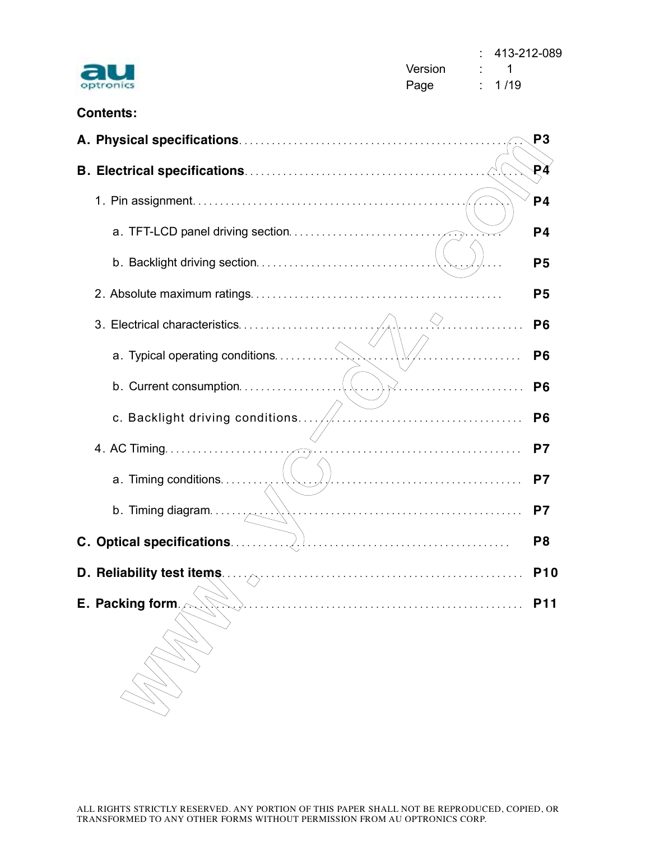| tronic<br>בוי |
|---------------|

 : 413-212-089 Version : 1 Page : 1/19

# **Contents:**

|                                                                                                                                                                                                                                                                                                                                                   | P <sub>3</sub> |
|---------------------------------------------------------------------------------------------------------------------------------------------------------------------------------------------------------------------------------------------------------------------------------------------------------------------------------------------------|----------------|
|                                                                                                                                                                                                                                                                                                                                                   | ₽À             |
|                                                                                                                                                                                                                                                                                                                                                   | P <sub>4</sub> |
|                                                                                                                                                                                                                                                                                                                                                   | P <sub>4</sub> |
|                                                                                                                                                                                                                                                                                                                                                   | P <sub>5</sub> |
|                                                                                                                                                                                                                                                                                                                                                   | P <sub>5</sub> |
| 3. Electrical characteristics                                                                                                                                                                                                                                                                                                                     | P <sub>6</sub> |
| .                                                                                                                                                                                                                                                                                                                                                 | P <sub>6</sub> |
| $\sqrt{2}$                                                                                                                                                                                                                                                                                                                                        | P <sub>6</sub> |
| c. Backlight driving conditions/./                                                                                                                                                                                                                                                                                                                | P <sub>6</sub> |
|                                                                                                                                                                                                                                                                                                                                                   | P7             |
| a. Timing conditions                                                                                                                                                                                                                                                                                                                              | P <sub>7</sub> |
| b. Timing diagram. $\ldots$ , $\ldots$ , $\ldots$ , $\ldots$ , $\ldots$ , $\ldots$ , $\ldots$ , $\ldots$ , $\ldots$ , $\ldots$ , $\ldots$ , $\ldots$ , $\ldots$ , $\ldots$ , $\ldots$ , $\ldots$ , $\ldots$ , $\ldots$ , $\ldots$ , $\ldots$ , $\ldots$ , $\ldots$ , $\ldots$ , $\ldots$ , $\ldots$ , $\ldots$ , $\ldots$ , $\ldots$ , $\ldots$ , | P <sub>7</sub> |
|                                                                                                                                                                                                                                                                                                                                                   | P8             |
| D. Reliability test items. And the continuum of the contract of the contract of the contract of the contract of the contract of the contract of the contract of the contract of the contract of the contract of the contract o                                                                                                                    | <b>P10</b>     |
| <b>E.</b> Packing form                                                                                                                                                                                                                                                                                                                            | P11            |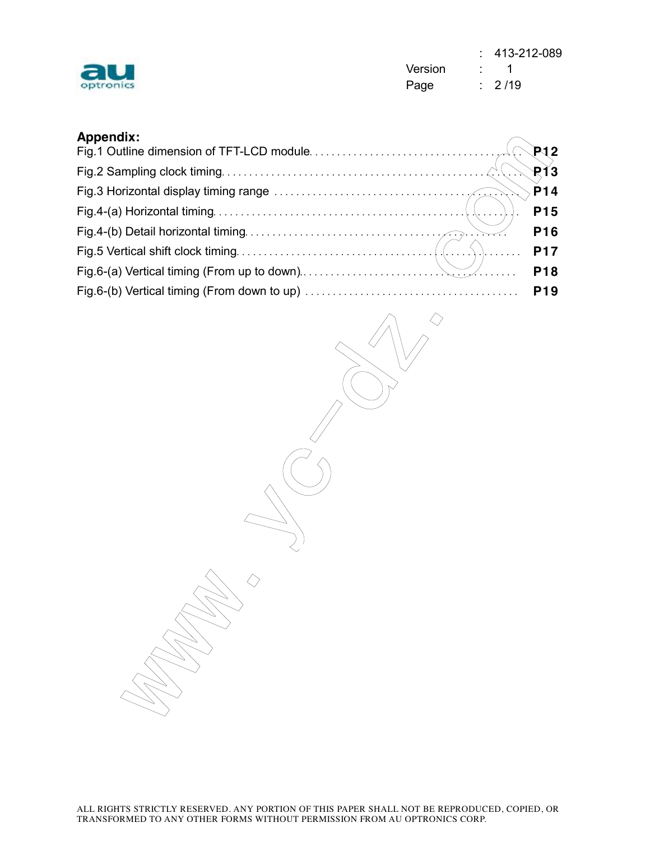| optroni<br>. . |  |
|----------------|--|

 : 413-212-089 Version : 1 Page : 2/19

## **Appendix:**

| <b>Appendix:</b> |                 |
|------------------|-----------------|
|                  |                 |
|                  |                 |
|                  |                 |
|                  | <b>P15</b>      |
|                  | P <sub>16</sub> |
|                  | <b>P17</b>      |
|                  | P <sub>18</sub> |
|                  | P <sub>19</sub> |

yc-dz.

w. Williams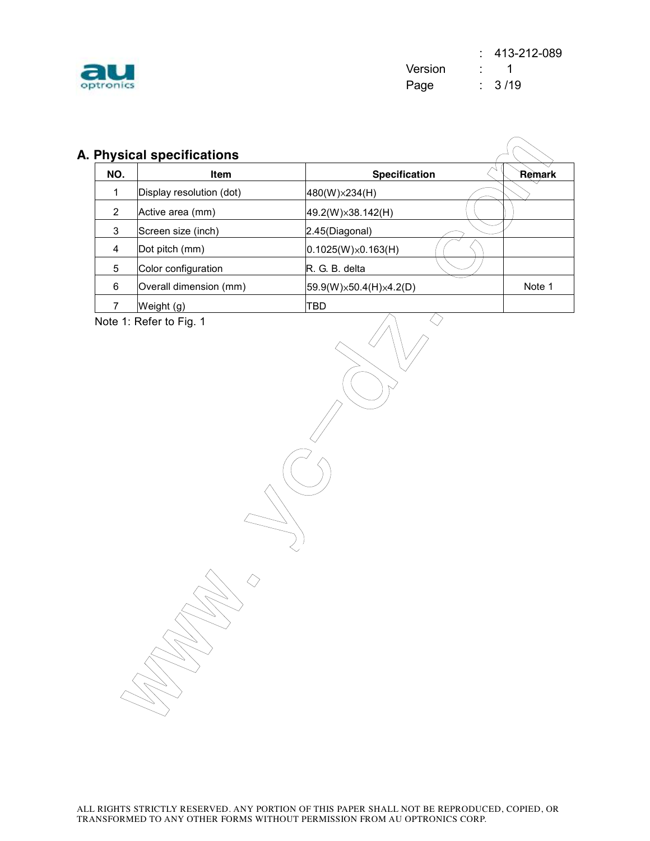

| NO.                     | Item                     | <b>Specification</b>       | Remark |
|-------------------------|--------------------------|----------------------------|--------|
| 1                       | Display resolution (dot) | 480(W)×234(H)              |        |
| $\overline{2}$          | Active area (mm)         | 49.2(W)x38.142(H)          |        |
| 3                       | Screen size (inch)       | 2.45(Diagonal)             |        |
| $\overline{\mathbf{4}}$ | Dot pitch (mm)           | $0.1025(W)\times 0.163(H)$ |        |
| 5                       | Color configuration      | R. G. B. delta             |        |
| 6                       | Overall dimension (mm)   | 59.9(W)×50.4(H)×4.2(D)     | Note 1 |
| $\overline{7}$          | Weight (g)               | <b>TBD</b>                 |        |
|                         |                          |                            |        |
|                         |                          |                            |        |

w. Williams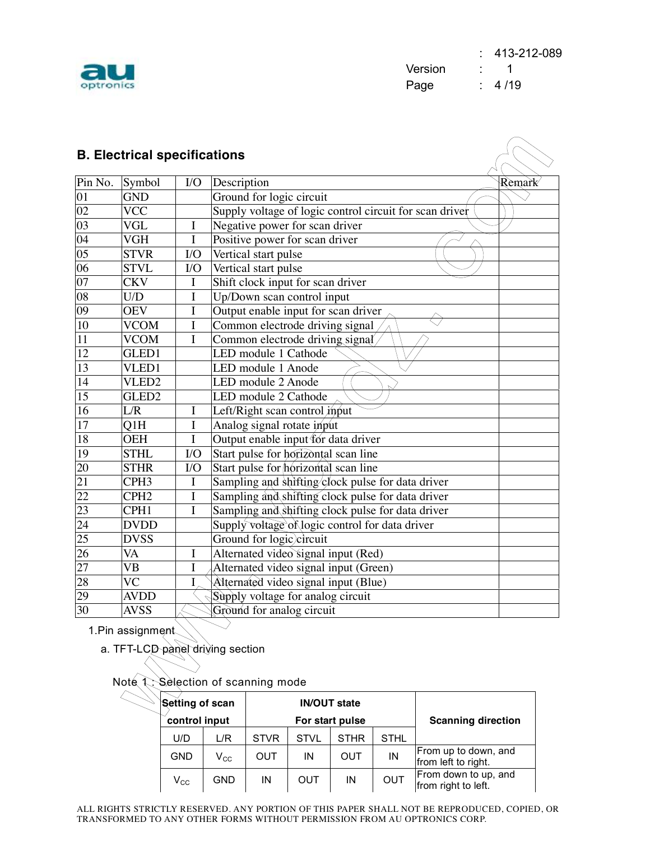

|                 |                   | <b>B. Electrical specifications</b> |             |                                                         |                           |        |  |  |  |
|-----------------|-------------------|-------------------------------------|-------------|---------------------------------------------------------|---------------------------|--------|--|--|--|
| Pin No.         | Symbol            | I/O                                 | Description |                                                         |                           | Remark |  |  |  |
| 01              | <b>GND</b>        |                                     |             | Ground for logic circuit                                |                           |        |  |  |  |
| 02              | <b>VCC</b>        |                                     |             | Supply voltage of logic control circuit for scan driver |                           |        |  |  |  |
| 03              | VGL               | I                                   |             | Negative power for scan driver                          |                           |        |  |  |  |
| $\overline{04}$ | <b>VGH</b>        | I                                   |             | Positive power for scan driver                          |                           |        |  |  |  |
| $\overline{05}$ | <b>STVR</b>       | I/O                                 |             | Vertical start pulse                                    |                           |        |  |  |  |
| 06              | <b>STVL</b>       | I/O                                 |             | Vertical start pulse                                    |                           |        |  |  |  |
| $\overline{07}$ | <b>CKV</b>        | I                                   |             | Shift clock input for scan driver                       |                           |        |  |  |  |
| 08              | U/D               | I                                   |             | Up/Down scan control input                              |                           |        |  |  |  |
| 09              | <b>OEV</b>        | I                                   |             | Output enable input for scan driver                     |                           |        |  |  |  |
| 10              | <b>VCOM</b>       | $\bf I$                             |             | Common electrode driving signal                         |                           |        |  |  |  |
| $\overline{11}$ | <b>VCOM</b>       | I                                   |             | Common electrode driving signal                         |                           |        |  |  |  |
| $\overline{12}$ | GLED <sub>1</sub> |                                     |             | LED module 1 Cathode                                    |                           |        |  |  |  |
| $\overline{13}$ | VLED1             |                                     |             | LED module 1 Anode                                      |                           |        |  |  |  |
| 14              | VLED <sub>2</sub> |                                     |             | LED module 2 Anode                                      |                           |        |  |  |  |
| 15              | GLED <sub>2</sub> |                                     |             | LED module 2 Cathode                                    |                           |        |  |  |  |
| 16              | L/R               | $\bf{l}$                            |             | Left/Right scan control <i>input</i>                    |                           |        |  |  |  |
| 17              | Q1H               | $\bf I$                             |             | Analog signal rotate input                              |                           |        |  |  |  |
| 18              | <b>OEH</b>        | $\mathbf I$                         |             | Output enable input for data driver                     |                           |        |  |  |  |
| 19              | <b>STHL</b>       | I/O                                 |             | Start pulse for horizontal scan line                    |                           |        |  |  |  |
| 20              | <b>STHR</b>       | $1/O$                               |             | Start pulse for <i>horizontal</i> scan line             |                           |        |  |  |  |
| 21              | CPH <sub>3</sub>  | $\bf I$                             |             | Sampling and shifting clock pulse for data driver       |                           |        |  |  |  |
| 22              | CPH <sub>2</sub>  | $\rm I$                             |             | Sampling and shifting clock pulse for data driver       |                           |        |  |  |  |
| 23              | CPH <sub>1</sub>  | $\overline{I}$                      |             | Sampling and shifting clock pulse for data driver       |                           |        |  |  |  |
| 24              | <b>DVDD</b>       |                                     |             | Supply voltage of logic control for data driver         |                           |        |  |  |  |
| $\overline{25}$ | <b>DVSS</b>       |                                     |             | Ground for logic)circuit                                |                           |        |  |  |  |
| 26              | VA                | I                                   |             | Alternated video signal input (Red)                     |                           |        |  |  |  |
| 27              | <b>VB</b>         | $\bf I$                             |             | Alternated video signal input (Green)                   |                           |        |  |  |  |
| 28              | <b>VC</b>         | I                                   |             | Alternated video signal input (Blue)                    |                           |        |  |  |  |
| 29              | <b>AVDD</b>       |                                     |             | Supply voltage for analog circuit                       |                           |        |  |  |  |
| 30              | <b>AVSS</b>       |                                     |             | Ground for analog circuit                               |                           |        |  |  |  |
|                 | 1. Pin assignment | a. TFT-LCD-panel driving section    |             |                                                         |                           |        |  |  |  |
|                 | Note 1            |                                     |             | Selection of scanning mode                              |                           |        |  |  |  |
|                 |                   | Setting of scan                     |             | <b>IN/OUT state</b>                                     |                           |        |  |  |  |
|                 |                   | control input                       |             | For start pulse                                         | <b>Scanning direction</b> |        |  |  |  |

### Note 1 Selection of scanning mode

| Setting of scan<br>control input |              |             |             | <b>IN/OUT state</b><br>For start pulse | <b>Scanning direction</b> |                                             |
|----------------------------------|--------------|-------------|-------------|----------------------------------------|---------------------------|---------------------------------------------|
| U/D                              | L/R          | <b>STVR</b> | <b>STVL</b> | <b>STHR</b>                            | <b>STHL</b>               |                                             |
| <b>GND</b>                       | $\rm V_{CC}$ | OUT         | ΙN          | OUT                                    | IN                        | From up to down, and<br>from left to right. |
| $\mathsf{V}_{\mathsf{CC}}$       | <b>GND</b>   | ΙN          | OUT         | IN                                     | <b>OUT</b>                | From down to up, and<br>from right to left. |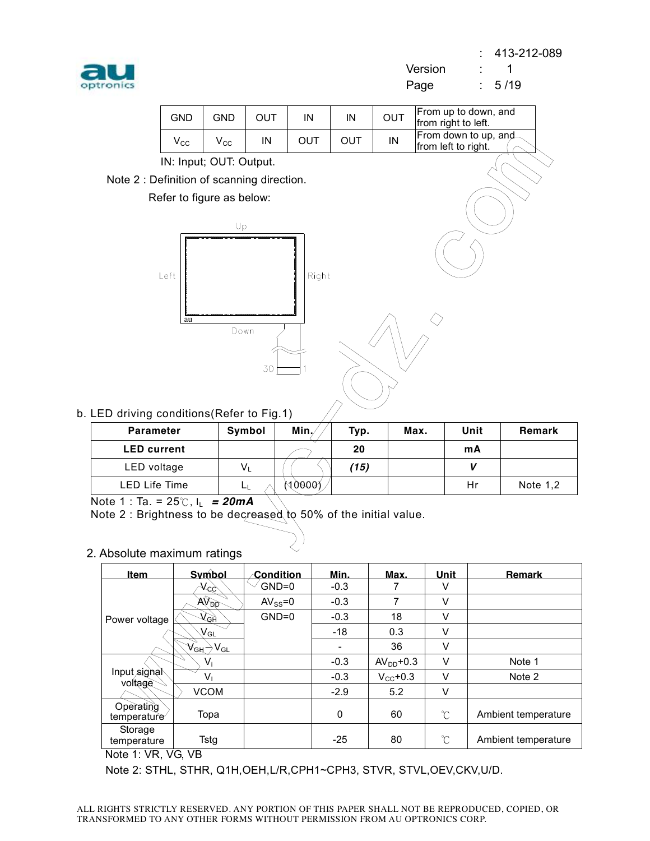

Note 2

 : 413-212-089 Version : 1 Page : 5/19

| <b>GND</b>                                                                                  | <b>GND</b>   | <b>OUT</b> | IN         | IN   | OUT |      | From up to down, and<br>from right to left.  |         |  |  |  |  |
|---------------------------------------------------------------------------------------------|--------------|------------|------------|------|-----|------|----------------------------------------------|---------|--|--|--|--|
| $V_{\rm CC}$                                                                                | $V_{\rm CC}$ | IN         | <b>OUT</b> | OUT  | IN  |      | From down to up, and-<br>from left to right. |         |  |  |  |  |
| IN: Input; OUT: Output.                                                                     |              |            |            |      |     |      |                                              |         |  |  |  |  |
| : Definition of scanning direction.                                                         |              |            |            |      |     |      |                                              |         |  |  |  |  |
| Refer to figure as below:                                                                   |              |            |            |      |     |      |                                              |         |  |  |  |  |
|                                                                                             |              |            |            |      |     |      |                                              |         |  |  |  |  |
|                                                                                             | Up           |            |            |      |     |      |                                              |         |  |  |  |  |
| Left<br>Right<br>au<br>Down<br>30<br>1                                                      |              |            |            |      |     |      |                                              |         |  |  |  |  |
| ng conditions(Refer to Fig.1)                                                               |              |            |            |      |     |      |                                              |         |  |  |  |  |
| rameter                                                                                     |              | Symbol     | Min,       | Typ. |     | Max. | Unit                                         | Remar   |  |  |  |  |
| current                                                                                     |              |            |            | 20   |     |      | mA                                           |         |  |  |  |  |
| voltage                                                                                     |              | $V_L$      |            | (15) |     |      | V                                            |         |  |  |  |  |
| Life Time                                                                                   |              | Lμ         | (10000)    |      |     |      | Hr                                           | Note 1, |  |  |  |  |
| $a. = 25^{\circ}$ , $I_L = 20mA$<br>Irightness to be decreased to 50% of the initial value. |              |            |            |      |     |      |                                              |         |  |  |  |  |
|                                                                                             |              |            |            |      |     |      |                                              |         |  |  |  |  |
|                                                                                             |              |            |            |      |     |      |                                              |         |  |  |  |  |

b. LED drivir

| <b>Parameter</b>     | Symbol | Min.   | Typ. | Max. | Unit | Remark     |
|----------------------|--------|--------|------|------|------|------------|
| <b>LED</b> current   |        |        | 20   |      | mA   |            |
| LED voltage          | $V_L$  |        | (15) |      |      |            |
| <b>LED Life Time</b> | LL.    | 80000Y |      |      | Hr   | Note $1,2$ |

Note 1 : Ta. = 25℃, IL *= 20mA* 

Note 2 : Brightness to be decreased to 50% of the initial value.

### 2. Absolute maximum ratings

| <b>Item</b>              | Symbol                                                                          | ∕-Condition   | Min.     | Max.                 | Unit | <b>Remark</b>       |
|--------------------------|---------------------------------------------------------------------------------|---------------|----------|----------------------|------|---------------------|
|                          | $\mathcal{N}^{CC}$                                                              | $GND=0$       | $-0.3$   |                      | V    |                     |
|                          | <b>AVAD</b>                                                                     | $AV_{SS} = 0$ | $-0.3$   | 7                    | V    |                     |
| Power voltage            | $V_{\mathcal{G}^{\mathsf{H}}}$                                                  | $GND=0$       | $-0.3$   | 18                   | V    |                     |
|                          | $\mathsf{V}_{\mathsf{GL}}$                                                      |               | $-18$    | 0.3                  | V    |                     |
|                          | $\mathsf{V}_{\mathsf{G}\mathsf{H}}\mathsf{S} \mathsf{V}_{\mathsf{G}\mathsf{L}}$ |               |          | 36                   | V    |                     |
|                          | $V_i$                                                                           |               | $-0.3$   | $AVDD+0.3$           | V    | Note 1              |
| Input signal<br>voltage  | V,                                                                              |               | $-0.3$   | $V_{\text{CC}}$ +0.3 | v    | Note 2              |
|                          | <b>VCOM</b>                                                                     |               | $-2.9$   | 5.2                  | V    |                     |
| Operating<br>temperature | Topa                                                                            |               | $\Omega$ | 60                   | °C   | Ambient temperature |
| Storage<br>temperature   | Tstg                                                                            |               | $-25$    | 80                   | °C   | Ambient temperature |

Note 1: VR, VG, VB

Note 2: STHL, STHR, Q1H,OEH,L/R,CPH1~CPH3, STVR, STVL,OEV,CKV,U/D.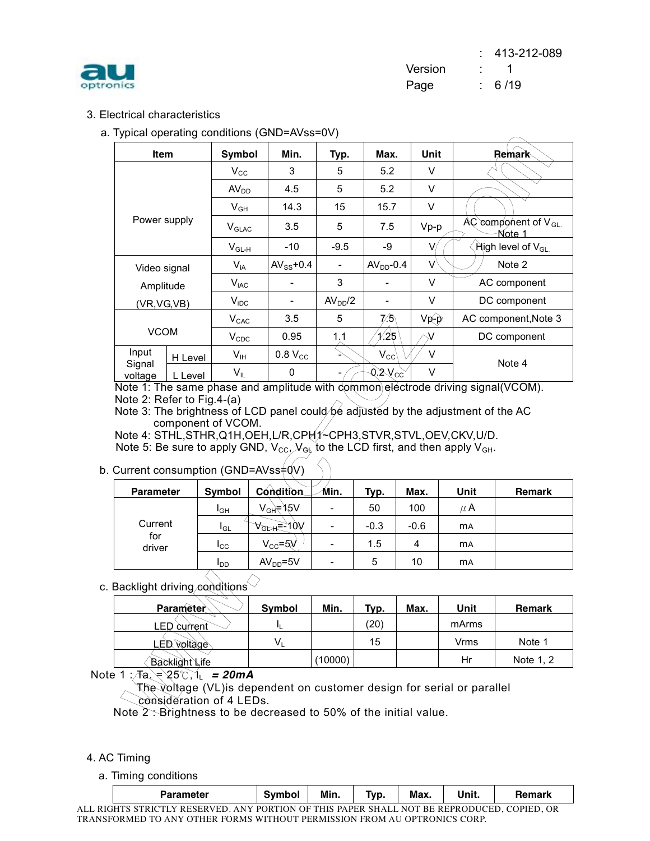

 : 413-212-089 Version : 1 Page : 6/19

### 3. Electrical characteristics

a. Typical operating conditions (GND=AVss=0V)

| ypical operating conditions (GND-AVSS-0V) |         |                                              |                |                          |                |                   |                                      |  |  |  |
|-------------------------------------------|---------|----------------------------------------------|----------------|--------------------------|----------------|-------------------|--------------------------------------|--|--|--|
| <b>Item</b>                               |         | Symbol                                       | Min.           | Typ.                     | Max.           | Unit              | <b>Remark</b>                        |  |  |  |
|                                           |         | $V_{\rm CC}$                                 | 3              | 5                        | 5.2            | V                 |                                      |  |  |  |
|                                           |         | $AV_{DD}$                                    | 4.5            | 5                        | 5.2            | V                 |                                      |  |  |  |
|                                           |         | $V_{GH}$                                     | 14.3           | 15                       | 15.7           | V                 |                                      |  |  |  |
| Power supply                              |         | $V_{GLAC}$                                   | 3.5            | 5                        | 7.5            | $Vp-p$            | $AC$ component of $V_{GL}$<br>Note 1 |  |  |  |
|                                           |         | $\mathsf{V}_{\mathsf{GL}\text{-}\mathsf{H}}$ | $-10$          | $-9.5$                   | -9             | V/                | $\hat{R}$ High level of $V_{GL}$     |  |  |  |
| Video signal                              |         | $V_{iA}$                                     | $AV_{SS}$ +0.4 | $\overline{\phantom{a}}$ | $AVDD-0.4$     | $\Lambda$         | Note 2                               |  |  |  |
| Amplitude                                 |         | $V_{iAC}$                                    |                | 3                        |                | V                 | AC component                         |  |  |  |
| (VR, VG, VB)                              |         | $V_{\text{IDC}}$                             | -              | AV <sub>DD</sub> /2      |                | V                 | DC component                         |  |  |  |
|                                           |         | $V_{CAC}$                                    | 3.5            | 5                        | 7⁄5\           | $Vp\rightarrow P$ | AC component, Note 3                 |  |  |  |
| <b>VCOM</b>                               |         | $V_{CDC}$                                    | 0.95           | 1.1                      | 1/25           |                   | DC component                         |  |  |  |
| Input                                     | H Level | V <sub>IH</sub>                              | $0.8$ $V_{CC}$ |                          | $V_{\rm CC}$   | V                 | Note 4                               |  |  |  |
| Signal<br>voltage                         | L Level | VIL                                          | 0              |                          | $0.2\sqrt{cc}$ | V                 |                                      |  |  |  |

### b. Current consumption (GND=AVss=0V)

|                                                                                                                                                                                                                           |         | $V_{CAC}$       | 3.5                       | 5    | 7⁄5               | $Vp\rightarrow P$ |            | AC component, Note 3 |  |
|---------------------------------------------------------------------------------------------------------------------------------------------------------------------------------------------------------------------------|---------|-----------------|---------------------------|------|-------------------|-------------------|------------|----------------------|--|
| <b>VCOM</b>                                                                                                                                                                                                               |         | $V_{CDC}$       | 0.95                      | 1.1  | 1/25              |                   |            | DC component         |  |
| Input<br>Signal                                                                                                                                                                                                           | H Level | V <sub>IH</sub> | $0.8$ $V_{CC}$            |      | V<br>$V_{\rm CC}$ |                   |            | Note 4               |  |
| voltage                                                                                                                                                                                                                   | L Level | $V_{\parallel}$ | 0                         |      | $2V_{cc}$         | $\vee$            |            |                      |  |
| Note 1: The same phase and amplitude with dommon eléctrode driving signal(VCOM).<br>Note 2: Refer to Fig.4-(a)<br>Note 3: The brightness of LCD panel could be adjusted by the adjustment of the AC<br>component of VCOM. |         |                 |                           |      |                   |                   |            |                      |  |
| //vote 4: STHL,STHR,Q1H,OEH,L/R,CPH́1⁄~CPH3,STVR,STVL,OEV,CKV,U<br>Note 5: Be sure to apply GND, $V_{CC}$ , $V_{Gb}$ to the LCD first, and then apply $V_{GH}$ .<br>Current consumption (GND=AVss‡QV)                     |         |                 |                           |      |                   |                   |            |                      |  |
| <b>Parameter</b>                                                                                                                                                                                                          |         | Symbol          | Condition                 | Min. | Typ.              | Max.              | Unit       | <b>Remark</b>        |  |
|                                                                                                                                                                                                                           |         | $I_{GH}$        | V <sub>GH</sub> =15V      |      | 50                | 100               | $\mu$ A    |                      |  |
| Current                                                                                                                                                                                                                   |         | l <sub>GL</sub> | ∀ <sub>G⊵++</sub> =-ੇਂ10V |      | $-0.3$            | $-0.6$            | mA         |                      |  |
| for<br>driver                                                                                                                                                                                                             |         | $I_{\rm CC}$    | $V_{\text{CC}} = 5V$      |      | 1.5               | 4                 | <b>m</b> A |                      |  |
|                                                                                                                                                                                                                           |         | $I_{DD}$        | $AVDD=5V$                 |      | 5                 | 10                | <b>MA</b>  |                      |  |

### c. Backlight driving conditions`

| Parameter                                                                                                                                                                                                           | Symbol         | Min.    | Typ. | Max. | Unit  | <b>Remark</b> |
|---------------------------------------------------------------------------------------------------------------------------------------------------------------------------------------------------------------------|----------------|---------|------|------|-------|---------------|
| LED current                                                                                                                                                                                                         | IL.            |         | (20) |      | mArms |               |
| voltage<br>FŊ                                                                                                                                                                                                       | V <sub>L</sub> |         | 15   |      | Vrms  | Note 1        |
| <b>Backlight Life</b>                                                                                                                                                                                               |                | (10000) |      |      | Hr    | Note 1, 2     |
| te 1: $\pi a \neq 25^\circ C, 1$ = 20mA<br>The voltage (VL)is dependent on customer design for serial or parallel<br>consideration of 4 LEDs.<br>Note $2$ . Brightness to be decreased to 50% of the initial value. |                |         |      |      |       |               |

Note 1 :<sub></sub> ⁄Fa. = 25℃, I<sub>L</sub> = 20mA

### 4. AC Timing

a. Timing conditions

|   | Parameter                                                             | $\cdots$                  | Min.    | _<br>VD.       | Max.         | . .<br>' Init. |                  |  |
|---|-----------------------------------------------------------------------|---------------------------|---------|----------------|--------------|----------------|------------------|--|
| . | / E 1<br>A N'<br>PIC.<br>DEC<br>$\sim$ $\mu$ D $\sim$<br>. . <i>.</i> | <b>DODT</b><br>'IANI<br>◝ | DΛ<br>. | . DE D<br>VЦ Л | ÐЕ.<br>NIATI | <b>DEDD</b>    | ∩D<br>ADIEF<br>. |  |

ALL RIGHTS STRICTLY RESERVED. ANY PORTION OF THIS PAPER SHALL NOT BE REPRODUCED, COPIED, OR TRANSFORMED TO ANY OTHER FORMS WITHOUT PERMISSION FROM AU OPTRONICS CORP.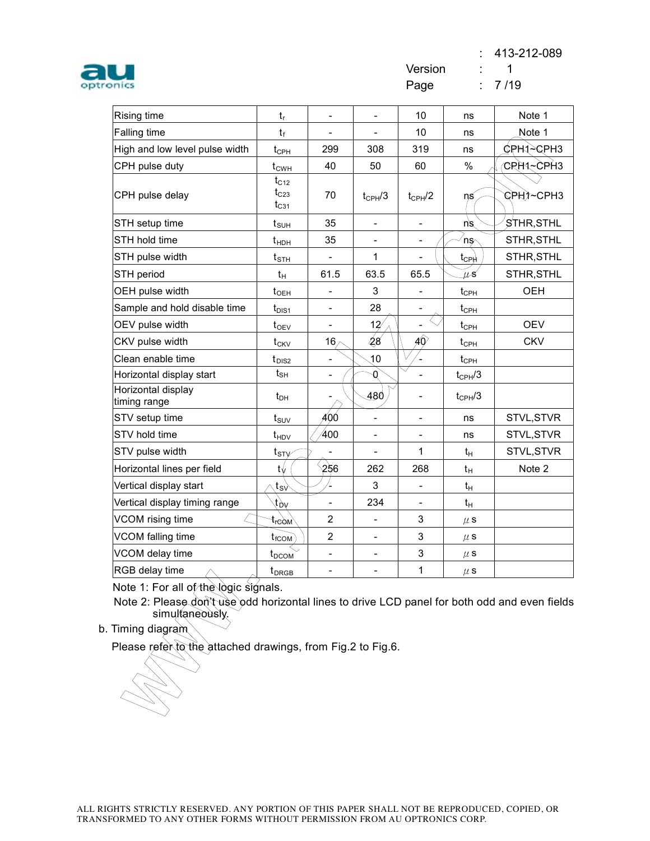: 413-212-089



| <b>Rising time</b>                 | $t_r$                                 | $\overline{\phantom{0}}$ | $\frac{1}{2}$                | 10                           | ns                                     | Note 1      |
|------------------------------------|---------------------------------------|--------------------------|------------------------------|------------------------------|----------------------------------------|-------------|
| <b>Falling time</b>                | $t_{\rm f}$                           |                          | $\overline{\phantom{a}}$     | 10                           | ns                                     | Note 1      |
| High and low level pulse width     | $t_{\text{CPH}}$                      | 299                      | 308                          | 319                          | ns                                     |             |
| CPH pulse duty                     | $t_{CWH}$                             | 40                       | 50                           | 60                           | $\%$                                   | CRH1.~CPH3  |
| CPH pulse delay                    | $t_{C12}$<br>$t_{C23}$<br>$t_{C31}$   | 70                       | $t_{CPH}/3$                  | $t_{CPH}$ /2                 | ns                                     | ©Pੇ∺∖?∼CPH3 |
| STH setup time                     | $t_{\texttt{SUH}}$                    | 35                       | $\qquad \qquad \blacksquare$ | $\overline{\phantom{a}}$     | ns                                     | STHR, STHL  |
| STH hold time                      | $t_{\text{HDH}}$                      | 35                       | $\overline{\phantom{a}}$     | $\qquad \qquad \blacksquare$ | ns                                     | STHR, STHL  |
| STH pulse width                    | $t_{\scriptscriptstyle\text{STH}}$    |                          | 1                            |                              | $t_{CP}$                               | STHR, STHL  |
| STH period                         | $t_{H}$                               | 61.5                     | 63.5                         | 65.5                         | ЦS                                     | STHR, STHL  |
| OEH pulse width                    | t <sub>OEH</sub>                      | $\overline{\phantom{a}}$ | 3                            |                              | $t_{\text{CPH}}$                       | <b>OEH</b>  |
| Sample and hold disable time       | $t_{\text{DIS1}}$                     | $\overline{\phantom{a}}$ | 28                           |                              | $t_{\scriptscriptstyle{\mathrm{CPH}}}$ |             |
| OEV pulse width                    | $t_{OEV}$                             |                          | 12                           |                              | $t_{\text{CPH}}$                       | <b>OEV</b>  |
| CKV pulse width                    | $t_{CKV}$                             | 16 <sub>2</sub>          | 48                           | АÒ                           | $t_{\text{CPH}}$                       | <b>CKV</b>  |
| Clean enable time                  | $t_{\text{DIS2}}$                     | $\overline{\phantom{a}}$ | 10                           |                              | $t_{\scriptscriptstyle{\mathrm{CPH}}}$ |             |
| Horizontal display start           | $t_{\scriptstyle\text{SH}}$           | $\overline{a}$           | 0                            |                              | $t_{CPH}/3$                            |             |
| Horizontal display<br>timing range | $t_{DH}$                              |                          | 480                          |                              | $t_{CPH}/3$                            |             |
| STV setup time                     | $t_{\text{SUV}}$                      | 400                      | $\overline{a}$               |                              | ns                                     | STVL, STVR  |
| STV hold time                      | $t_{HDV}$                             | 400                      | $\overline{\phantom{0}}$     |                              | ns                                     | STVL, STVR  |
| STV pulse width                    | $t_{STV}$                             |                          |                              | 1                            | $t_H$                                  | STVL, STVR  |
| Horizontal lines per field         | t√                                    | 256                      | 262                          | 268                          | $t_H$                                  | Note 2      |
| Vertical display start             | $\mathfrak{t}_{\mathsf{S}\mathsf{V}}$ |                          | 3                            |                              | $t_{H}$                                |             |
| Vertical display timing range      | $y_0$                                 |                          | 234                          |                              | $t_H$                                  |             |
| VCOM rising time                   | t <sub>re</sub> d <sub>M</sub>        | $\overline{2}$           | $\overline{\phantom{0}}$     | 3                            | $\mu$ S                                |             |
| VCOM falling time                  | $t_{fCOM}$                            | $\overline{2}$           | $\overline{\phantom{a}}$     | 3                            | $\mu$ S                                |             |
| VCOM delay time                    | $t_{DCOM}$                            | $\overline{\phantom{0}}$ | $\overline{\phantom{0}}$     | 3                            | $\mu$ S                                |             |
| RGB delay time                     | t <sub>DRGB</sub>                     | $\overline{\phantom{0}}$ | -                            | 1                            | $\mu$ S                                |             |

Note 1: For all of the logic signals.

CGB delay time<br>
ote 1: For all of the logic sig<br>
lote 2: Please don't use odd<br>
simultaneously.<br>
ming diagram<br>
lease refer to the attached d Note 2: Please don't use odd horizontal lines to drive LCD panel for both odd and even fields simultaneously.

b. Timing diagram

Please refer to the attached drawings, from Fig.2 to Fig.6.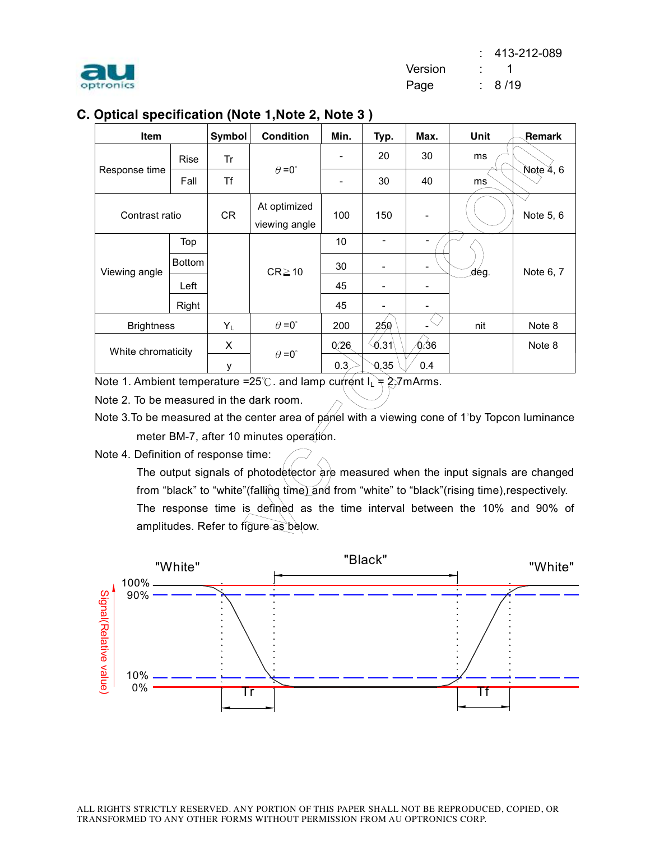

# **C. Optical specification (Note 1,Note 2, Note 3 )**

| <b>Item</b>        |               | <b>Symbol</b> | <b>Condition</b>              | Min.                     | Typ.           | Max.                         | Unit | Remark    |
|--------------------|---------------|---------------|-------------------------------|--------------------------|----------------|------------------------------|------|-----------|
|                    | <b>Rise</b>   | Tr            |                               | $\overline{\phantom{a}}$ | 20             | 30                           | ms   |           |
| Response time      | Fall          | Τf            | $\theta = 0^{\circ}$          | $\overline{\phantom{a}}$ | 30             | 40                           | ms   | Note 4, 6 |
| Contrast ratio     |               | <b>CR</b>     | At optimized<br>viewing angle | 100                      | 150            |                              |      | Note 5, 6 |
|                    | Top           |               |                               | 10                       | $\overline{a}$ | $\overline{\phantom{0}}$     |      |           |
| Viewing angle      | <b>Bottom</b> |               | $CR \ge 10$                   | 30                       | -              | $\overline{\phantom{a}}$     | dég. | Note 6, 7 |
|                    | Left          |               |                               | 45                       | -              |                              |      |           |
|                    | Right         |               |                               | 45                       | -              |                              |      |           |
| <b>Brightness</b>  |               | $Y_L$         | $\theta = 0^{\circ}$          | 200                      | 25,Q           | $\left\langle \right\rangle$ | nit  | Note 8    |
| White chromaticity |               | X             |                               | 0.26                     | 0.31           | ∕0.36                        |      | Note 8    |
|                    |               | у             | $\theta = 0^{\circ}$          | 0.3                      | 0.35           | 0.4                          |      |           |

Note 1. Ambient temperature =25℃. and lamp current  $I_L = 2.7$ mArms.

Note 2. To be measured in the dark room.

Note 3. To be measured at the center area of panel with a viewing cone of 1°by Topcon luminance meter BM-7, after 10 minutes operation.

Note 4. Definition of response time:

 $\theta = 0$ <br>  $\theta = 0$ <br>  $\sqrt{26}$ <br>  $\sqrt{6.31}$ <br>  $\sqrt{6.36}$ <br>  $\sqrt{6.36}$ <br>  $\sqrt{6.36}$ <br>  $\sqrt{6.36}$ <br>  $\sqrt{6.36}$ <br>  $\sqrt{6.36}$ <br>  $\sqrt{6.36}$ <br>  $\sqrt{6.36}$ <br>  $\sqrt{6.36}$ <br>  $\sqrt{6.36}$ <br>  $\sqrt{6.36}$ <br>  $\sqrt{6.36}$ <br>  $\sqrt{6.36}$ <br>  $\sqrt{6.36}$ <br>  $\sqrt{6.36}$ <br> The output signals of photodetector are measured when the input signals are changed from "black" to "white"(falling time) and from "white" to "black"(rising time), respectively. The response time is defined as the time interval between the 10% and 90% of amplitudes. Refer to figure as below.

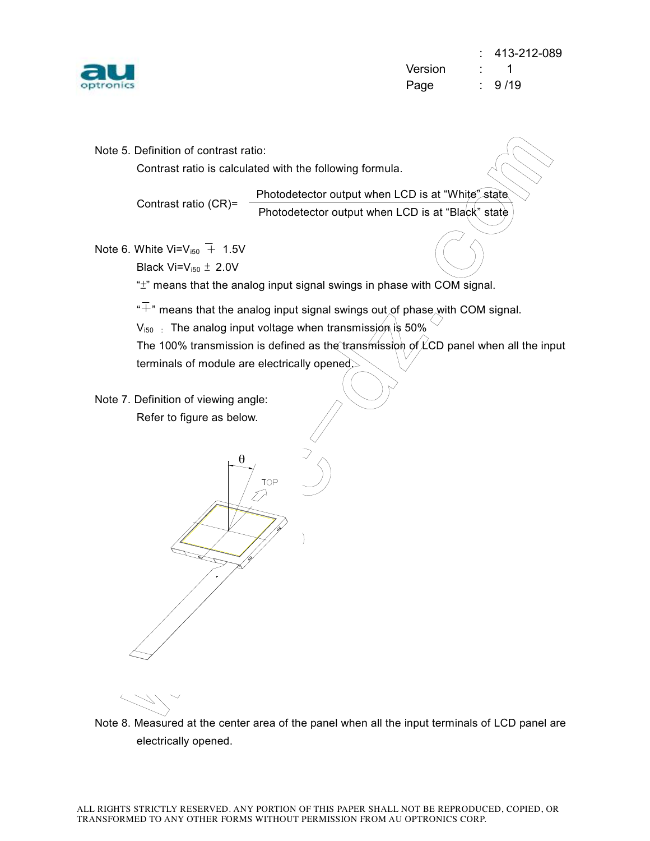

 $\frac{1}{\sqrt{1-\frac{1}{\sqrt{1-\frac{1}{\sqrt{1-\frac{1}{\sqrt{1-\frac{1}{\sqrt{1-\frac{1}{\sqrt{1-\frac{1}{\sqrt{1-\frac{1}{\sqrt{1-\frac{1}{\sqrt{1-\frac{1}{\sqrt{1-\frac{1}{\sqrt{1-\frac{1}{\sqrt{1-\frac{1}{\sqrt{1-\frac{1}{\sqrt{1-\frac{1}{\sqrt{1-\frac{1}{\sqrt{1-\frac{1}{\sqrt{1-\frac{1}{\sqrt{1-\frac{1}{\sqrt{1-\frac{1}{\sqrt{1-\frac{1}{\sqrt{1-\frac{1}{\sqrt{1-\frac{1}{\sqrt{1-\frac{1}{\sqrt{1-\frac{1$ yc-dz.  $\frac{a \cdot \text{at "White" state}}{\text{at "Black" state}}$ Note 5. Definition of contrast ratio: Contrast ratio is calculated with the following formula. Contrast ratio (CR)= Note 6. White Vi= $V_{150}$  + 1.5V Black Vi= $V_{i50} \pm 2.0V$ "±" means that the analog input signal swings in phase with COM signal. " $\overline{+}$ " means that the analog input signal swings out of phase with COM signal.  $V_{150}$ : The analog input voltage when transmission is 50% The 100% transmission is defined as the transmission of  $\angle$ CD panel when all the input terminals of module are electrically opened. Note 7. Definition of viewing angle: Refer to figure as below.  $\overline{\theta}$ Photodetector output when LCD is at "White" state Photodetector output when LCD is at "Black" state

Note 8. Measured at the center area of the panel when all the input terminals of LCD panel are electrically opened.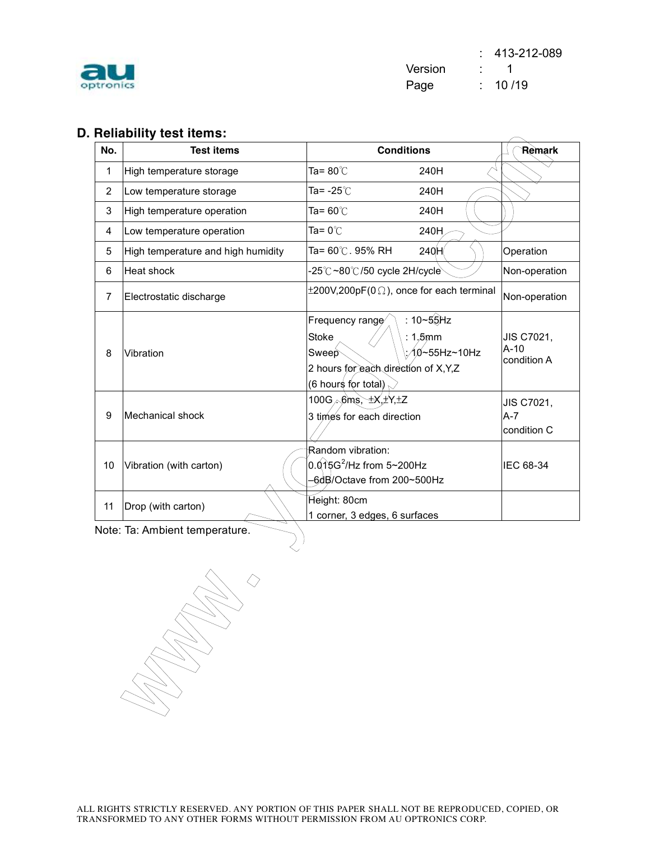

 : 413-212-089 Version : 1 Page : 10 /19

# **D. Reliability test items:**

|                | הכווסטווונץ נכגל ונכוווג.          |                                                                                                                                                          |                                     |
|----------------|------------------------------------|----------------------------------------------------------------------------------------------------------------------------------------------------------|-------------------------------------|
| No.            | <b>Test items</b>                  | <b>Conditions</b>                                                                                                                                        | Remark                              |
| 1              | High temperature storage           | Ta= 80℃<br>240H                                                                                                                                          |                                     |
| $\overline{2}$ | Low temperature storage            | Ta= -25℃<br>240H                                                                                                                                         |                                     |
| 3              | High temperature operation         | Ta= 60℃<br>240H                                                                                                                                          |                                     |
| 4              | Low temperature operation          | Ta= 0 $^{\circ}$ C<br>240H                                                                                                                               |                                     |
| 5              | High temperature and high humidity | 240H<br>Ta= 60℃. 95% RH                                                                                                                                  | Operation                           |
| 6              | Heat shock                         | -25℃~80℃/50 cycle 2H/cycle`                                                                                                                              | Non-operation                       |
| $\overline{7}$ | Electrostatic discharge            | $\pm 200V, 200pF(0 \Omega)$ , once for each terminal                                                                                                     | Non-operation                       |
| 8              | Vibration                          | : $10 - 55$ Hz<br>Frequency range<br><b>Stoke</b><br>$1.5$ mm<br>10∼55Hz~10Hz<br>Sweep<br>2 hours for each direction of X, Y, Z<br>(6 hours for tota∖) ∈ | JIS C7021,<br>$A-10$<br>condition A |
| 9              | Mechanical shock                   | 100G $\sim$ 6ms, $\pm$ X, $\pm$ Y, $\pm$ Z<br>3 times for each direction                                                                                 | JIS C7021,<br>A-7<br>condition C    |
| 10             | Vibration (with carton)            | Random vibration:<br>$0.015G^2$ /Hz from 5~200Hz<br>-6dB/Octave from 200~500Hz                                                                           | IEC 68-34                           |
| 11             | Drop (with carton)                 | Height: 80cm<br>1 corner, 3 edges, 6 surfaces                                                                                                            |                                     |
|                | Note: Ta: Ambient temperature.     |                                                                                                                                                          |                                     |

w. Williams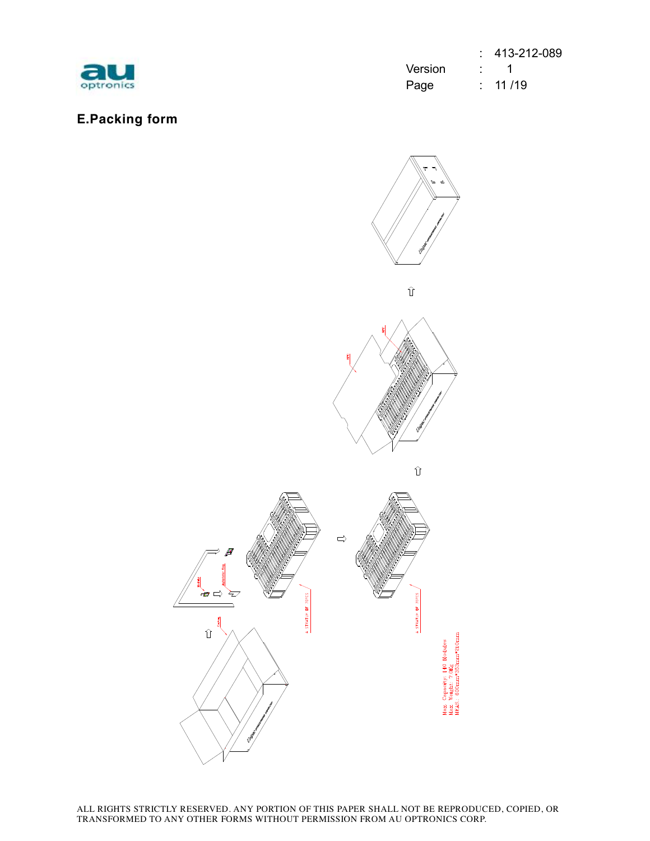

**E.Packing form** 

|           |         | $: 413-212-089$    |
|-----------|---------|--------------------|
| au        | Version | $\sim$ 1           |
| optronics | Page    | $\therefore$ 11/19 |

# com  $\widehat{\mathbb{U}}$ yc-dz. www. **TOPCS** A STRATUM DF A STRATUM DF **Jax**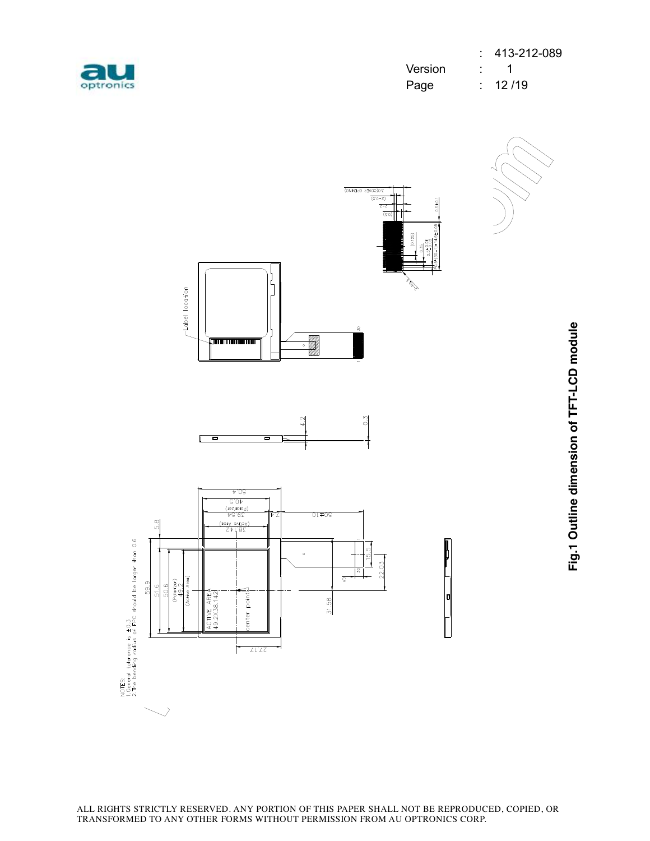| optronics |  |
|-----------|--|

|           |         | $: 413-212-089$    |
|-----------|---------|--------------------|
| au        | Version | $\sim$ 1           |
| optronics | Page    | $\therefore$ 12/19 |

0











ALL RIGHTS STRICTLY RESERVED. ANY PORTION OF THIS PAPER SHALL NOT BE REPRODUCED, COPIED, OR TRANSFORMED TO ANY OTHER FORMS WITHOUT PERMISSION FROM AU OPTRONICS CORP.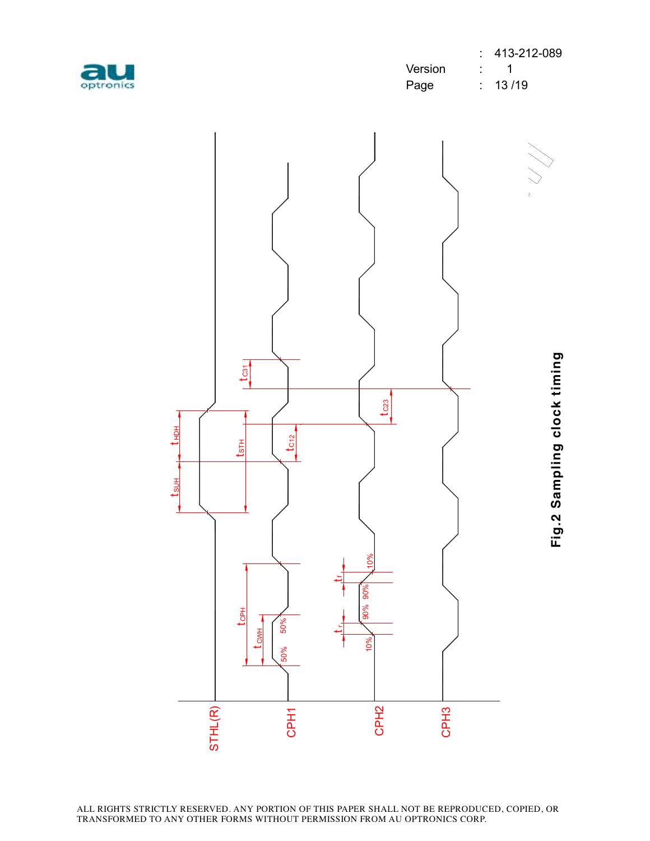

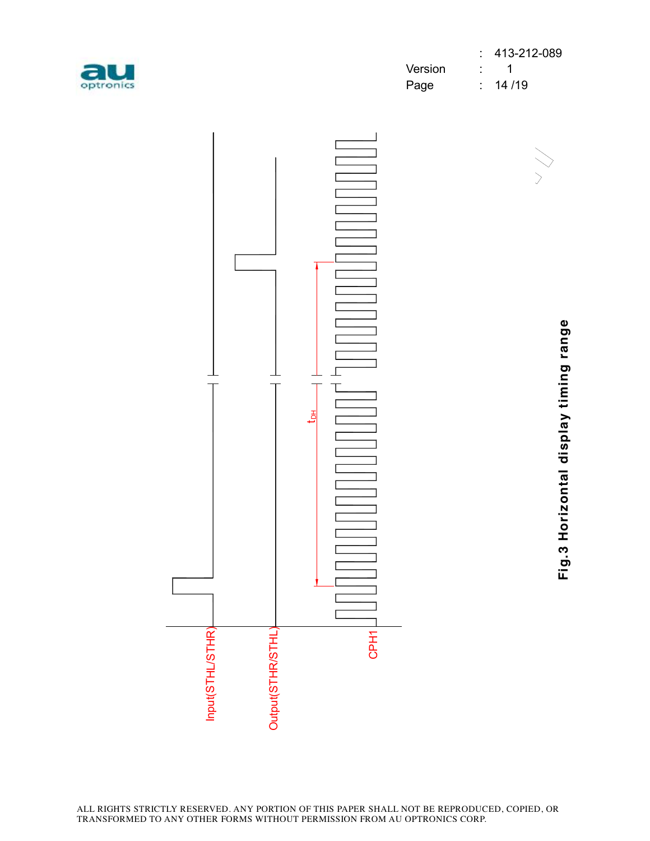

|           |         | $: 413-212-089$    |
|-----------|---------|--------------------|
| au        | Version | $\sim$ 1           |
| optronics | Page    | $\therefore$ 14/19 |

com



**Fig.3 H oriz o ntal dis pla y timin g ra n g e**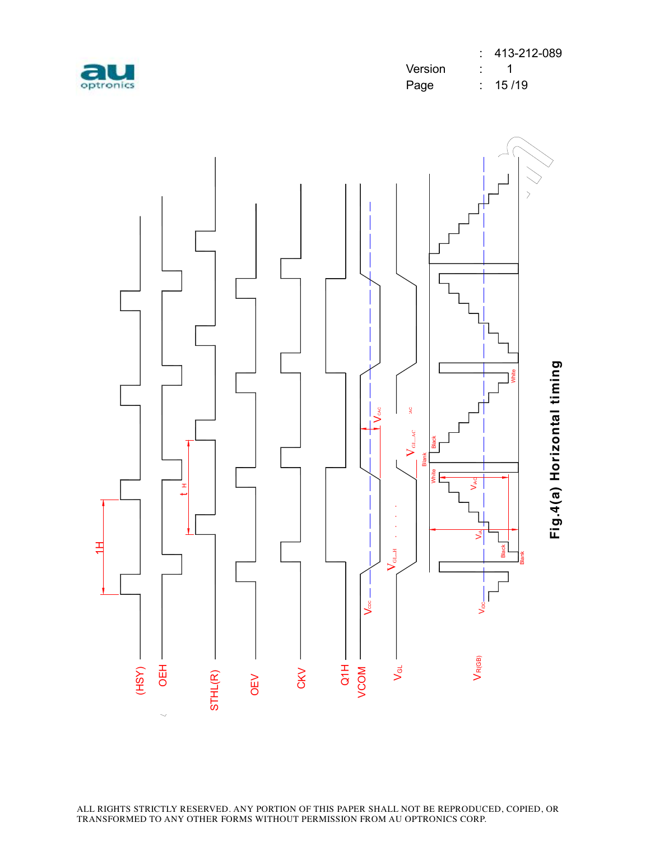

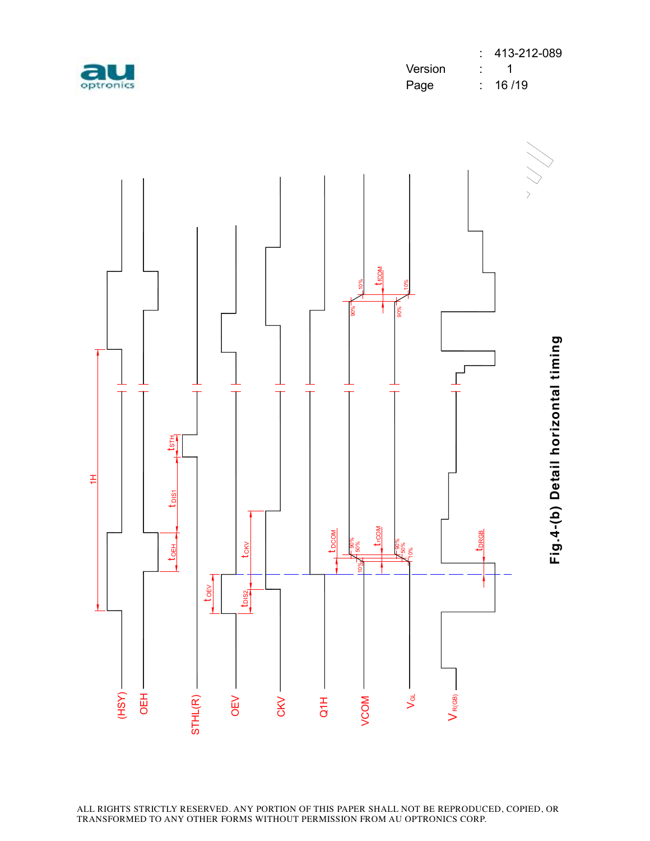

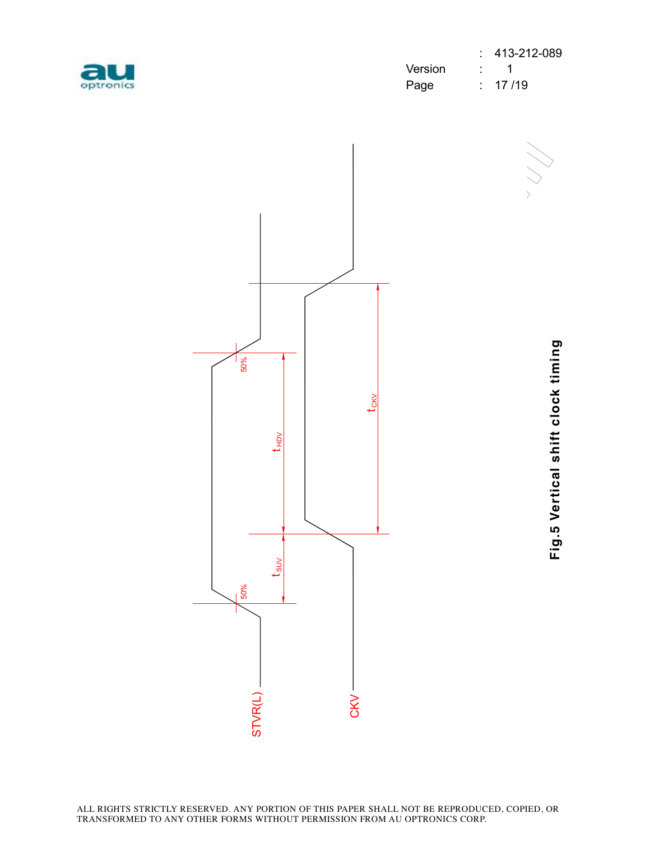

|           |         | $: 413-212-089$ |
|-----------|---------|-----------------|
| au        | Version | $\therefore$ 1  |
| optronics | Page    | $\div$ 17/19    |

r<br>N



**Fig.5 V ertic al s hift clo c k timin**

**g**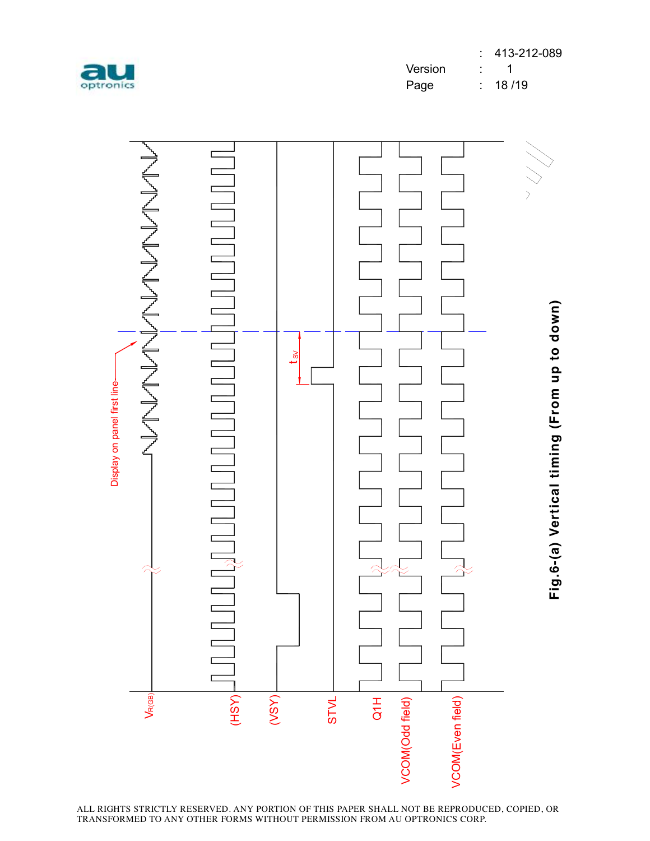



ALL RIGHTS STRICTLY RESERVED. ANY PORTION OF THIS PAPER SHALL NOT BE REPRODUCED, COPIED, OR TRANSFORMED TO ANY OTHER FORMS WITHOUT PERMISSION FROM AU OPTRONICS CORP.